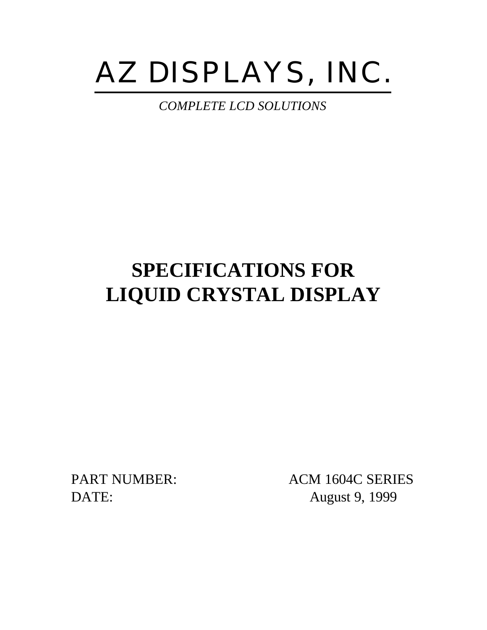# AZ DISPLAYS, INC.

*COMPLETE LCD SOLUTIONS*

# **SPECIFICATIONS FOR LIQUID CRYSTAL DISPLAY**

PART NUMBER: ACM 1604C SERIES DATE: August 9, 1999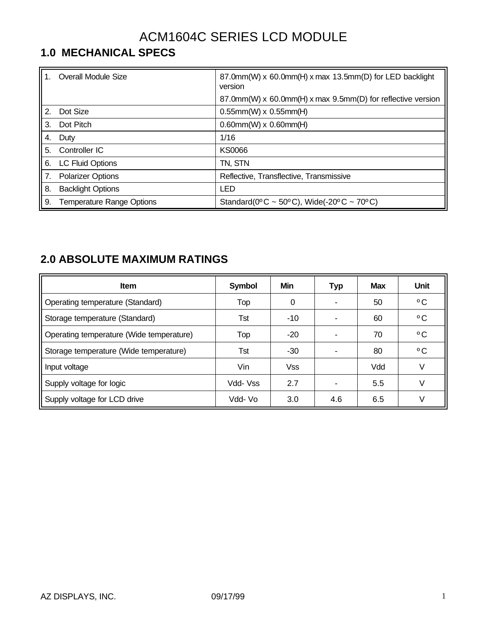# ACM1604C SERIES LCD MODULE

# **1.0 MECHANICAL SPECS**

|             | <b>Overall Module Size</b>       | 87.0mm(W) x 60.0mm(H) x max 13.5mm(D) for LED backlight<br>version |
|-------------|----------------------------------|--------------------------------------------------------------------|
|             |                                  | 87.0mm(W) x 60.0mm(H) x max 9.5mm(D) for reflective version        |
| $2^{\circ}$ | Dot Size                         | $0.55$ mm(W) x $0.55$ mm(H)                                        |
| 3.          | Dot Pitch                        | $0.60$ mm(W) x $0.60$ mm(H)                                        |
| 4.          | Duty                             | 1/16                                                               |
| 5.          | Controller IC                    | KS0066                                                             |
| 6.          | <b>LC Fluid Options</b>          | TN, STN                                                            |
| 7.          | <b>Polarizer Options</b>         | Reflective, Transflective, Transmissive                            |
| 8.          | <b>Backlight Options</b>         | LED                                                                |
| 9.          | <b>Temperature Range Options</b> | Standard( $0^{\circ}$ C ~ 50°C), Wide(-20°C ~ 70°C)                |

#### **2.0 ABSOLUTE MAXIMUM RATINGS**

| <b>Item</b>                              | <b>Symbol</b> | Min        | <b>Typ</b> | <b>Max</b> | Unit         |
|------------------------------------------|---------------|------------|------------|------------|--------------|
| Operating temperature (Standard)         | Top           | 0          | ٠          | 50         | $^{\circ}$ C |
| Storage temperature (Standard)           | Tst           | $-10$      |            | 60         | $^{\circ}$ C |
| Operating temperature (Wide temperature) | Top           | $-20$      |            | 70         | $^{\circ}$ C |
| Storage temperature (Wide temperature)   | Tst           | -30        |            | 80         | $^{\circ}$ C |
| Input voltage                            | Vin           | <b>Vss</b> |            | Vdd        | V            |
| Supply voltage for logic                 | Vdd- Vss      | 2.7        |            | 5.5        | V            |
| Supply voltage for LCD drive             | Vdd- Vo       | 3.0        | 4.6        | 6.5        |              |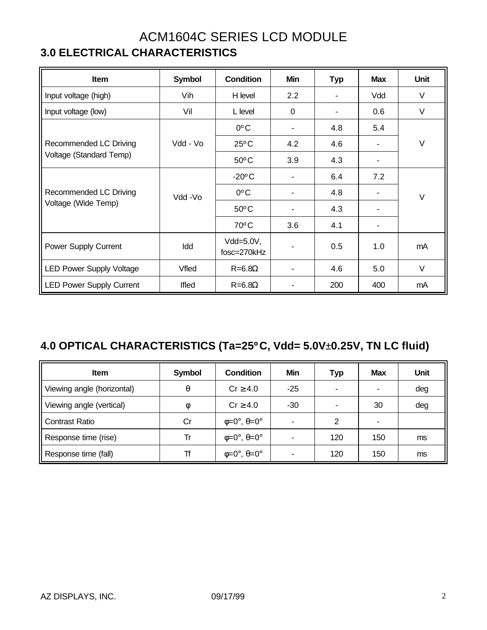### ACM1604C SERIES LCD MODULE **3.0 ELECTRICAL CHARACTERISTICS**

| <b>Item</b>                     | <b>Symbol</b> | <b>Condition</b>                           | Min            | <b>Typ</b>     | <b>Max</b> | <b>Unit</b> |  |  |
|---------------------------------|---------------|--------------------------------------------|----------------|----------------|------------|-------------|--|--|
| Input voltage (high)            | Vih           | H level                                    | 2.2            | ۰              | Vdd        | $\vee$      |  |  |
| Input voltage (low)             | Vil           | L level                                    | $\mathbf 0$    | $\blacksquare$ | 0.6        | $\vee$      |  |  |
|                                 |               | $0^{\circ}$ C                              | $\blacksquare$ | 4.8            | 5.4        |             |  |  |
| Recommended LC Driving          | Vdd - Vo      | $25^{\circ}$ C                             | 4.2            | 4.6            |            | $\vee$      |  |  |
| Voltage (Standard Temp)         |               | $50^{\circ}$ C                             | 3.9            | 4.3            | ٠          |             |  |  |
|                                 |               | $-20^{\circ}$ C                            | ۰              | 6.4            | 7.2        | $\vee$      |  |  |
| Recommended LC Driving          | Vdd -Vo       | $0^{\circ}$ C                              | $\blacksquare$ | 4.8            |            |             |  |  |
| Voltage (Wide Temp)             |               | $50^{\circ}$ C                             | ۰              | 4.3            |            |             |  |  |
|                                 |               | $70^{\circ}$ C                             | 3.6            | 4.1            |            |             |  |  |
| <b>Power Supply Current</b>     | Idd           | Vdd=5.0V,<br>$\blacksquare$<br>fosc=270kHz |                | 0.5            | 1.0        | mA          |  |  |
| <b>LED Power Supply Voltage</b> | Vfled         | $R = 6.8\Omega$                            | ۰              | 4.6            | 5.0        | $\vee$      |  |  |
| <b>LED Power Supply Current</b> | Ifled         | $R = 6.8\Omega$                            |                | 200            | 400        | mA          |  |  |

### **4.0 OPTICAL CHARACTERISTICS (Ta=25ºC, Vdd= 5.0V**±**0.25V, TN LC fluid)**

| <b>Item</b>                | Symbol | <b>Condition</b>                      | Min            | <b>Typ</b> | <b>Max</b> | Unit |
|----------------------------|--------|---------------------------------------|----------------|------------|------------|------|
| Viewing angle (horizontal) | θ      | $Cr \geq 4.0$                         | $-25$          | ٠          | ۰          | deg  |
| Viewing angle (vertical)   | $\Phi$ | $Cr \geq 4.0$                         | $-30$          | ۰          | 30         | deg  |
| <b>Contrast Ratio</b>      | Cr     | $\phi = 0^\circ$ , $\theta = 0^\circ$ | $\blacksquare$ | 2          |            |      |
| Response time (rise)       | Tr     | $\phi = 0^\circ$ , $\theta = 0^\circ$ | $\blacksquare$ | 120        | 150        | ms   |
| Response time (fall)       | Tf     | $\phi = 0^\circ$ , $\theta = 0^\circ$ | ٠              | 120        | 150        | ms   |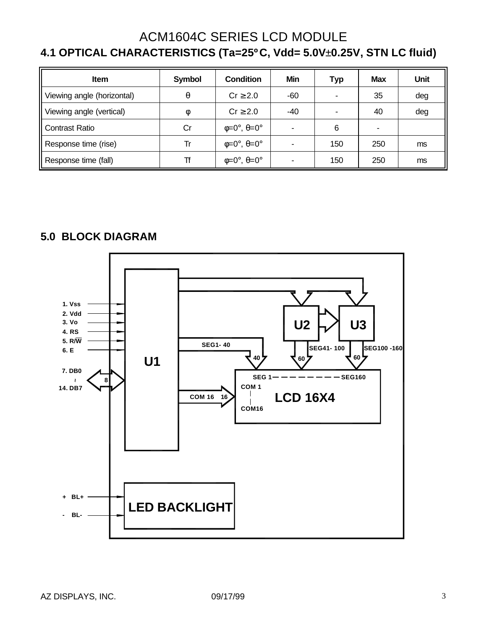#### ACM1604C SERIES LCD MODULE **4.1 OPTICAL CHARACTERISTICS (Ta=25ºC, Vdd= 5.0V**±**0.25V, STN LC fluid)**

| <b>Item</b>                | Symbol | <b>Condition</b>                      | Min                      | Typ                      | <b>Max</b> | Unit |
|----------------------------|--------|---------------------------------------|--------------------------|--------------------------|------------|------|
| Viewing angle (horizontal) | θ      | $Cr \geq 2.0$                         | -60                      | $\overline{\phantom{a}}$ | 35         | deg  |
| Viewing angle (vertical)   | Ø      | $Cr \geq 2.0$                         | -40                      | ۰                        | 40         | deg  |
| Contrast Ratio             | Cr     | $\phi = 0^\circ$ , $\theta = 0^\circ$ | $\overline{\phantom{0}}$ | 6                        |            |      |
| Response time (rise)       | Tr     | $\phi = 0^\circ$ , $\theta = 0^\circ$ | ٠                        | 150                      | 250        | ms   |
| Response time (fall)       | Tf     | $\phi = 0^\circ$ , $\theta = 0^\circ$ | $\overline{\phantom{0}}$ | 150                      | 250        | ms   |

#### **5.0 BLOCK DIAGRAM**

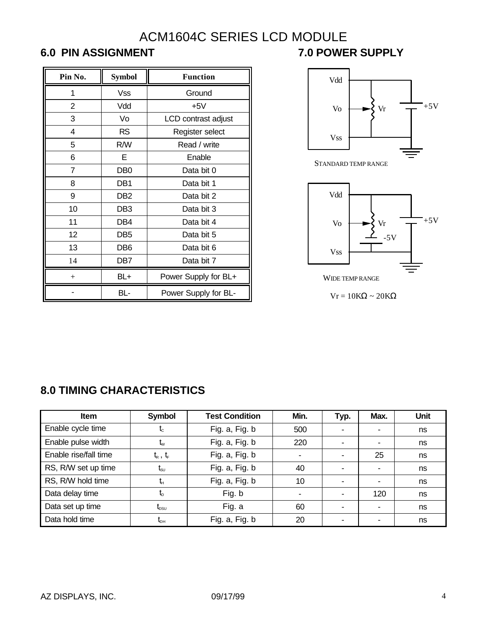## ACM1604C SERIES LCD MODULE **6.0 PIN ASSIGNMENT 7.0 POWER SUPPLY**

| Pin No. | <b>Symbol</b>   | <b>Function</b>      |  |  |  |  |  |
|---------|-----------------|----------------------|--|--|--|--|--|
| 1       | <b>Vss</b>      | Ground               |  |  |  |  |  |
| 2       | Vdd             | $+5V$                |  |  |  |  |  |
| 3       | Vo              | LCD contrast adjust  |  |  |  |  |  |
| 4       | <b>RS</b>       | Register select      |  |  |  |  |  |
| 5       | R/W             | Read / write         |  |  |  |  |  |
| 6       | Е               | Enable               |  |  |  |  |  |
| 7       | DB <sub>0</sub> | Data bit 0           |  |  |  |  |  |
| 8       | DB <sub>1</sub> | Data bit 1           |  |  |  |  |  |
| 9       | DB <sub>2</sub> | Data bit 2           |  |  |  |  |  |
| 10      | DB <sub>3</sub> | Data bit 3           |  |  |  |  |  |
| 11      | DB <sub>4</sub> | Data bit 4           |  |  |  |  |  |
| 12      | DB <sub>5</sub> | Data bit 5           |  |  |  |  |  |
| 13      | DB <sub>6</sub> | Data bit 6           |  |  |  |  |  |
| 14      | DB7             | Data bit 7           |  |  |  |  |  |
| $^{+}$  | BL+             | Power Supply for BL+ |  |  |  |  |  |
|         | BL-             | Power Supply for BL- |  |  |  |  |  |

Vss Vo Vdd  $Vr \quad \overline{ }$  +5V

STANDARD TEMP RANGE



Vr = 10KΩ ~ 20KΩ

#### **8.0 TIMING CHARACTERISTICS**

| <b>Item</b>           | <b>Symbol</b>                              | <b>Test Condition</b> | Min. | Typ. | Max. | Unit |
|-----------------------|--------------------------------------------|-----------------------|------|------|------|------|
| Enable cycle time     | $t_c$                                      | Fig. a, Fig. b        | 500  | ۰    |      | ns   |
| Enable pulse width    | $t_{w}$                                    | Fig. a, Fig. b        | 220  | ۰    | ۰    | ns   |
| Enable rise/fall time | $t_{R}$ , $t_{F}$                          | Fig. a, Fig. b        |      | ۰    | 25   | ns   |
| RS, R/W set up time   | $\mathsf{t}_{\mathsf{s}\mathsf{u}}$        | Fig. a, Fig. b        | 40   | ۰    | ۰    | ns   |
| RS, R/W hold time     | t,                                         | Fig. a, Fig. b        | 10   | ۰    | ۰    | ns   |
| Data delay time       | $t_{\circ}$                                | Fig. b                |      | ٠    | 120  | ns   |
| Data set up time      | $\textnormal{t}_{\textnormal{\tiny{DSU}}}$ | Fig. a                | 60   | ۰    | ۰    | ns   |
| Data hold time        | $\rm t_{\scriptscriptstyle OH}$            | Fig. a, Fig. b        | 20   | ۰    | ۰    | ns   |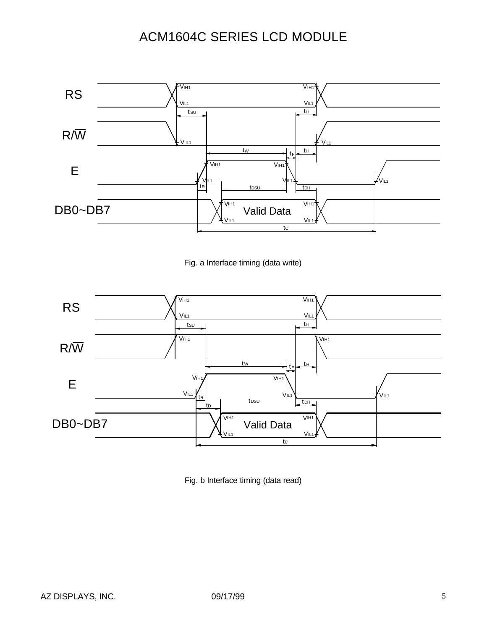# ACM1604C SERIES LCD MODULE



Fig. a Interface timing (data write)



Fig. b Interface timing (data read)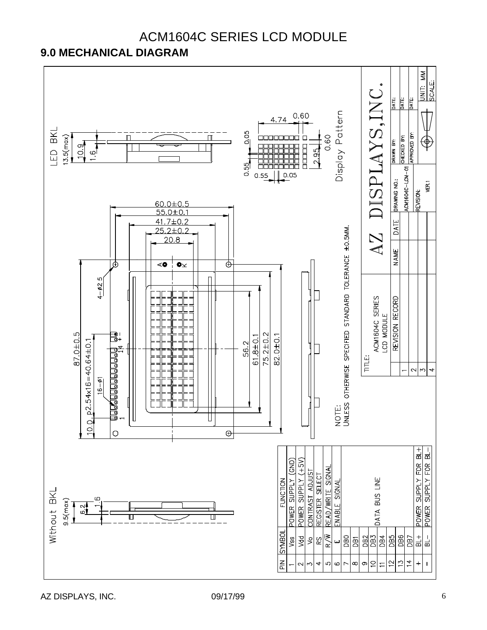

#### ACM1604C SERIES LCD MODULE **9.0 MECHANICAL DIAGRAM**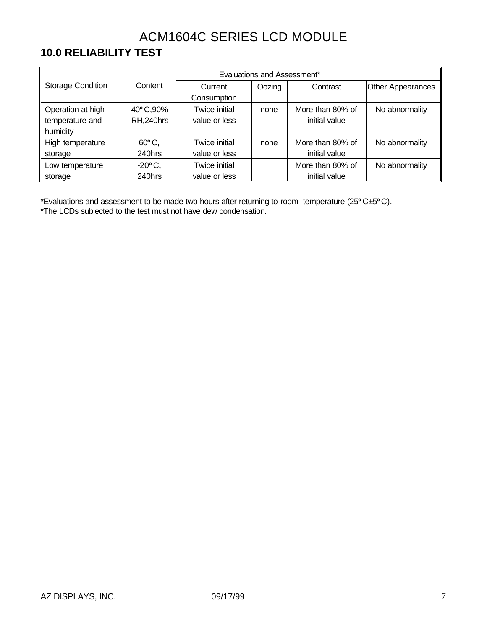# ACM1604C SERIES LCD MODULE

#### **10.0 RELIABILITY TEST**

|                              |                       |               | Evaluations and Assessment* |                  |                          |
|------------------------------|-----------------------|---------------|-----------------------------|------------------|--------------------------|
| <b>Storage Condition</b>     | Content               | Current       | Oozing                      | Contrast         | <b>Other Appearances</b> |
|                              |                       | Consumption   |                             |                  |                          |
| Operation at high            | 40°C,90%              | Twice initial | none                        | More than 80% of | No abnormality           |
| RH,240hrs<br>temperature and |                       | value or less |                             | initial value    |                          |
| humidity                     |                       |               |                             |                  |                          |
| High temperature             | $60^{\circ}$ C,       | Twice initial | none                        | More than 80% of | No abnormality           |
| storage                      | 240hrs                | value or less |                             | initial value    |                          |
| Low temperature              | $-20$ <sup>o</sup> C, | Twice initial |                             | More than 80% of | No abnormality           |
| storage                      | 240hrs                | value or less |                             | initial value    |                          |

\*Evaluations and assessment to be made two hours after returning to room temperature (25**º**C±5**º**C). \*The LCDs subjected to the test must not have dew condensation.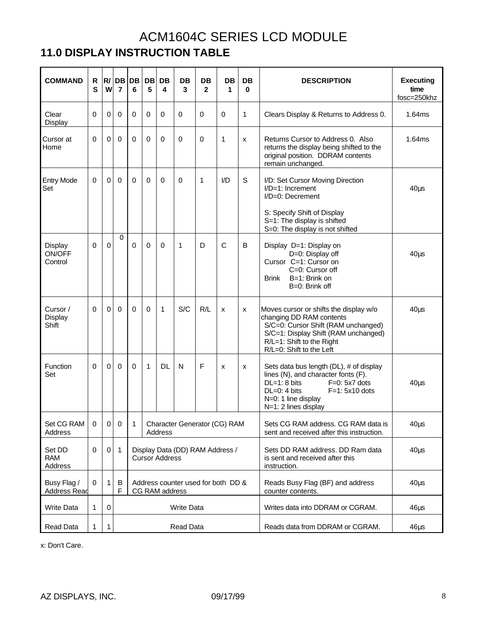### ACM1604C SERIES LCD MODULE **11.0 DISPLAY INSTRUCTION TABLE**

| <b>COMMAND</b>                     | R<br>S         | W           | R/DB<br>$\overline{7}$ | <b>DB</b><br>6 | DB<br>5      | DB<br>4                                                  | <b>DB</b><br>3    | <b>DB</b><br>$\mathbf{2}$ | DB<br>1                            | <b>DB</b><br>0 | <b>DESCRIPTION</b>                                                                                                                                                                                         | <b>Executing</b><br>time<br>fosc=250khz |
|------------------------------------|----------------|-------------|------------------------|----------------|--------------|----------------------------------------------------------|-------------------|---------------------------|------------------------------------|----------------|------------------------------------------------------------------------------------------------------------------------------------------------------------------------------------------------------------|-----------------------------------------|
| Clear<br>Display                   | $\Omega$       | $\mathbf 0$ | $\mathbf 0$            | $\Omega$       | $\Omega$     | $\mathbf 0$                                              | 0                 | $\mathbf 0$               | $\mathbf 0$                        | 1              | Clears Display & Returns to Address 0.                                                                                                                                                                     | 1.64ms                                  |
| Cursor at<br>Home                  | 0              | $\Omega$    | $\mathbf 0$            | $\Omega$       | $\mathbf 0$  | $\Omega$                                                 | 0                 | 0                         | 1                                  | x              | Returns Cursor to Address 0. Also<br>returns the display being shifted to the<br>original position. DDRAM contents<br>remain unchanged.                                                                    | 1.64ms                                  |
| <b>Entry Mode</b><br>Set           | $\Omega$       | $\Omega$    | $\mathbf 0$            | $\Omega$       | $\Omega$     | $\mathbf 0$                                              | 0                 | 1                         | I/D                                | $\mathbb S$    | I/D: Set Cursor Moving Direction<br>$I/D=1$ : Increment<br>$I/D=0$ : Decrement                                                                                                                             | $40\mus$                                |
|                                    |                |             |                        |                |              |                                                          |                   |                           |                                    |                | S: Specify Shift of Display<br>S=1: The display is shifted<br>S=0: The display is not shifted                                                                                                              |                                         |
| Display<br>ON/OFF<br>Control       | 0              | 0           | $\Omega$               | $\Omega$       | 0            | 0                                                        | 1                 | D                         | $\mathsf{C}$                       | B              | Display D=1: Display on<br>D=0: Display off<br>Cursor C=1: Cursor on<br>C=0: Cursor off<br>B=1: Brink on<br><b>Brink</b><br>B=0: Brink off                                                                 | $40\mus$                                |
| Cursor /<br>Display<br>Shift       | $\Omega$       | $\Omega$    | $\Omega$               | $\Omega$       | $\Omega$     | $\mathbf{1}$                                             | S/C               | R/L                       | x                                  | X              | Moves cursor or shifts the display w/o<br>changing DD RAM contents<br>S/C=0: Cursor Shift (RAM unchanged)<br>S/C=1: Display Shift (RAM unchanged)<br>R/L=1: Shift to the Right<br>R/L=0: Shift to the Left | $40\mus$                                |
| Function<br>Set                    | $\Omega$       | $\Omega$    | $\Omega$               | $\Omega$       | $\mathbf{1}$ | <b>DL</b>                                                | N                 | F                         | x                                  | x              | Sets data bus length (DL), # of display<br>lines (N), and character fonts (F).<br>$DL=1:8$ bits<br>$F=0$ : 5x7 dots<br>$DL=0$ : 4 bits<br>$F=1: 5x10$ dots<br>N=0: 1 line display<br>N=1: 2 lines display  | $40\mus$                                |
| Set CG RAM<br>Address              | $\overline{0}$ |             | 0 <sub>0</sub>         | $\mathbf{1}$   |              | Address                                                  |                   |                           | Character Generator (CG) RAM       |                | Sets CG RAM address. CG RAM data is<br>sent and received after this instruction.                                                                                                                           | $40\mu$ s                               |
| Set DD<br>RAM<br>Address           | 0              | 0           | $\mathbf{1}$           |                |              | Display Data (DD) RAM Address /<br><b>Cursor Address</b> |                   |                           |                                    |                | Sets DD RAM address. DD Ram data<br>is sent and received after this<br>instruction.                                                                                                                        | $40\mus$                                |
| Busy Flag /<br><b>Address Read</b> | 0              | 1           | B<br>F                 |                |              | CG RAM address                                           |                   |                           | Address counter used for both DD & |                | Reads Busy Flag (BF) and address<br>counter contents.                                                                                                                                                      | $40\mus$                                |
| <b>Write Data</b>                  | 1              | 0           |                        |                |              |                                                          | <b>Write Data</b> |                           |                                    |                | Writes data into DDRAM or CGRAM.                                                                                                                                                                           | $46\mu s$                               |
| Read Data                          | 1              | 1           |                        |                |              |                                                          | Read Data         |                           |                                    |                | Reads data from DDRAM or CGRAM.                                                                                                                                                                            | $46\mu s$                               |

x: Don't Care.